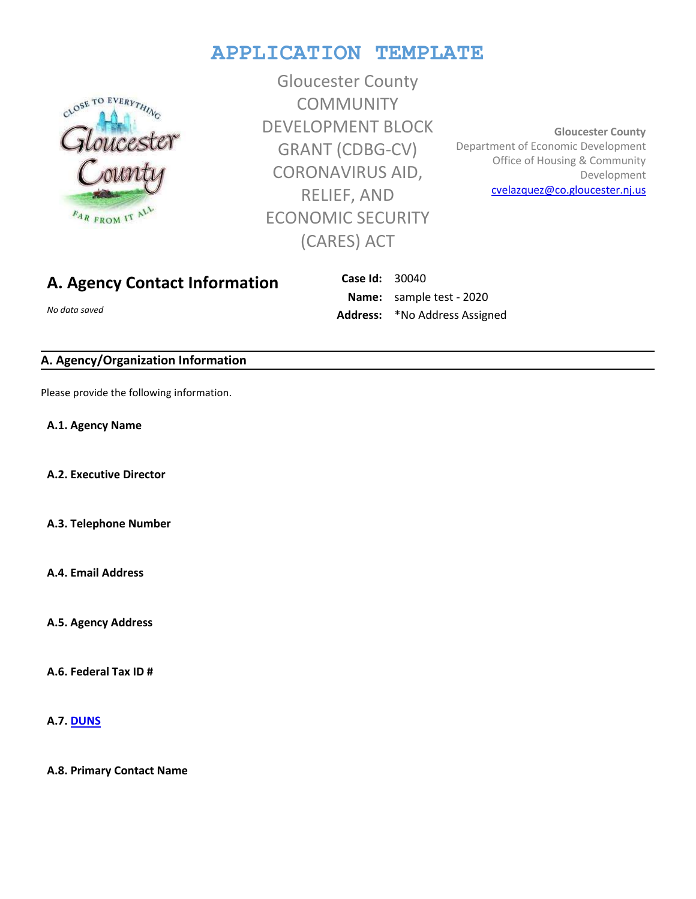# **APPLICATION TEMPLATE**



Gloucester County **COMMUNITY** DEVELOPMENT BLOCK GRANT (CDBG-CV) CORONAVIRUS AID, RELIEF, AND ECONOMIC SECURITY (CARES) ACT

**Gloucester County**  Department of Economic Development Office of Housing & Community Development [cvelazquez@co.gloucester.nj.us](gcmicrogrant@co.gloucester.nj.us)

## **A. Agency Contact Information**

*No data saved*

**Case Id:** 30040 **Name:** sample test - 2020 **Address:** \*No Address Assigned

### **A. Agency/Organization Information**

Please provide the following information.

**A.1. Agency Name**

**A.2. Executive Director**

**A.3. Telephone Number**

**A.4. Email Address**

**A.5. Agency Address**

**A.6. Federal Tax ID #**

**A.7. [DUNS](https://www.dnb.com/)**

**A.8. Primary Contact Name**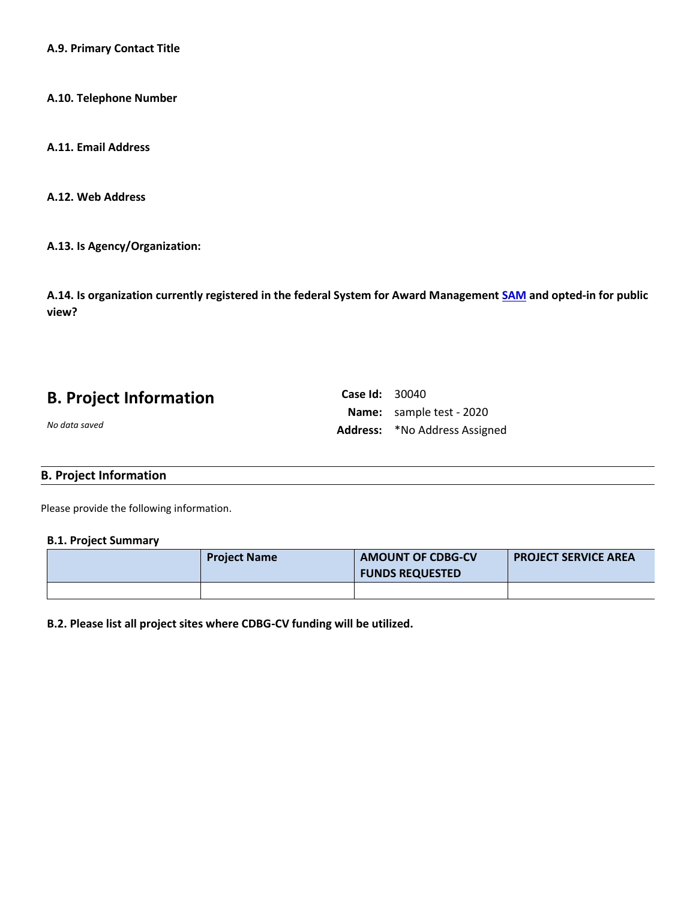**A.9. Primary Contact Title**

**A.10. Telephone Number**

**A.11. Email Address**

**A.12. Web Address**

**A.13. Is Agency/Organization:**

**A.14. Is organization currently registered in the federal System for Award Managemen[t SAM](https://www.sam.gov/SAM/) and opted-in for public view?**

**Case Id:** 30040

**Name:** sample test - 2020 **Address:** \*No Address Assigned

|  | <b>B. Project Information</b> |
|--|-------------------------------|
|--|-------------------------------|

*No data saved*

### **B. Project Information**

Please provide the following information.

#### **B.1. Project Summary**

| <b>Project Name</b> | <b>AMOUNT OF CDBG-CV</b><br><b>FUNDS REQUESTED</b> | <b>PROJECT SERVICE AREA</b> |
|---------------------|----------------------------------------------------|-----------------------------|
|                     |                                                    |                             |

**B.2. Please list all project sites where CDBG-CV funding will be utilized.**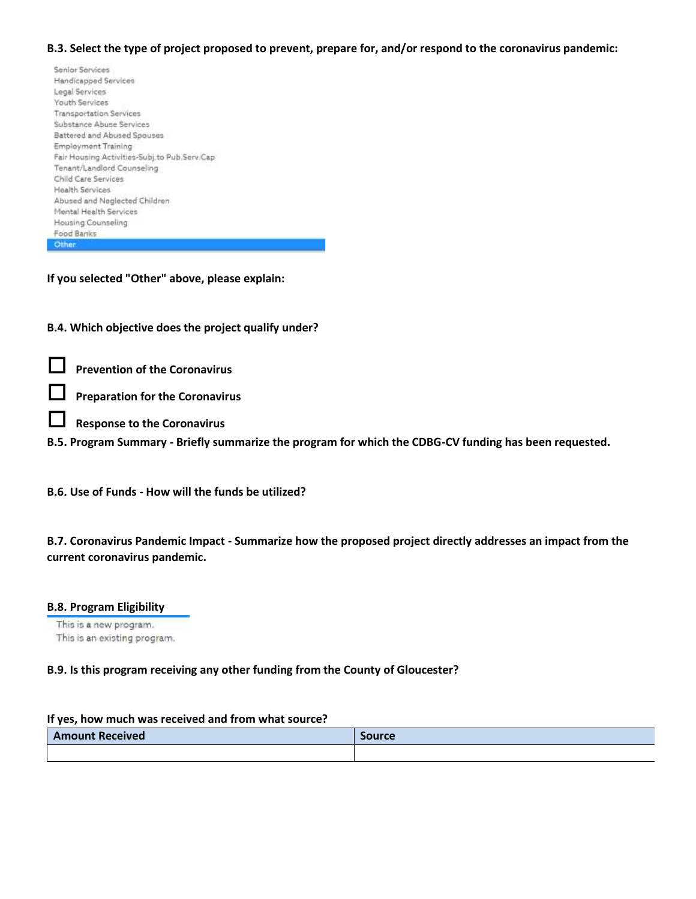### **B.3. Select the type of project proposed to prevent, prepare for, and/or respond to the coronavirus pandemic:**

| Senior Services                              |  |
|----------------------------------------------|--|
| Handicapped Services                         |  |
| Legal Services                               |  |
| <b>Youth Services</b>                        |  |
|                                              |  |
| <b>Transportation Services</b>               |  |
| Substance Abuse Services                     |  |
| Battered and Abused Spouses                  |  |
| Employment Training                          |  |
| Fair Housing Activities-Subj.to Pub.Serv.Cap |  |
| Tenant/Landlord Counseling                   |  |
| Child Care Services                          |  |
| Health Services                              |  |
| Abused and Neglected Children                |  |
| Mental Health Services                       |  |
| Housing Counseling                           |  |
| Food Banks                                   |  |
| Other                                        |  |
|                                              |  |

**If you selected "Other" above, please explain:**

**B.4. Which objective does the project qualify under?** 

**Prevention of the Coronavirus**

**Preparation for the Coronavirus**

- **Response to the Coronavirus**
- **B.5. Program Summary - Briefly summarize the program for which the CDBG-CV funding has been requested.**

**B.6. Use of Funds - How will the funds be utilized?**

**B.7. Coronavirus Pandemic Impact - Summarize how the proposed project directly addresses an impact from the current coronavirus pandemic.**

### **B.8. Program Eligibility**

This is a new program. This is an existing program.

### **B.9. Is this program receiving any other funding from the County of Gloucester?**

### **If yes, how much was received and from what source?**

| <b>Amount Received</b> | <b>Source</b> |
|------------------------|---------------|
|                        |               |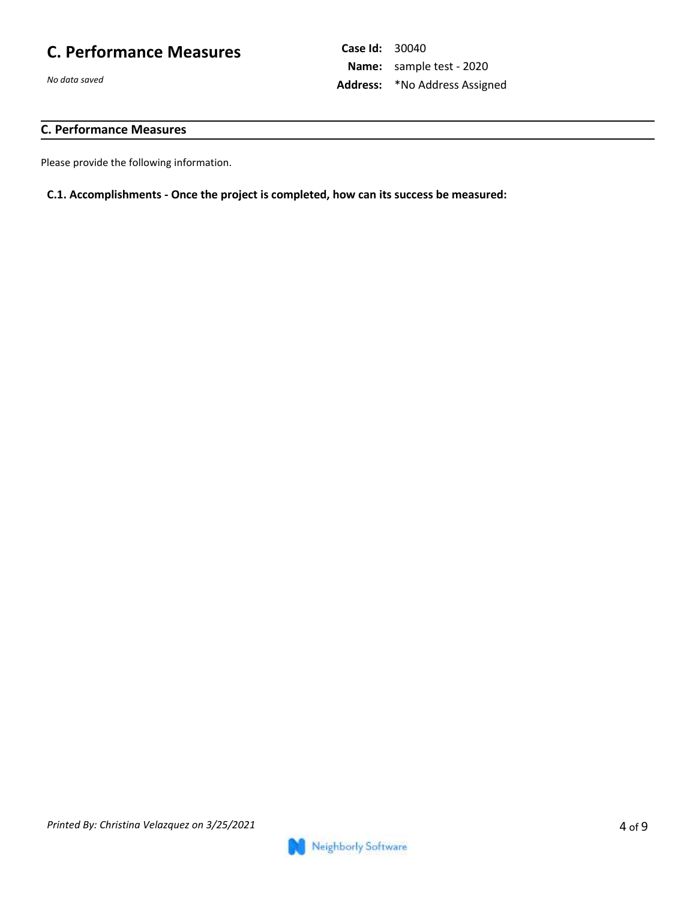# **C. Performance Measures**

*No data saved*

### **C. Performance Measures**

Please provide the following information.

### **C.1. Accomplishments - Once the project is completed, how can its success be measured:**

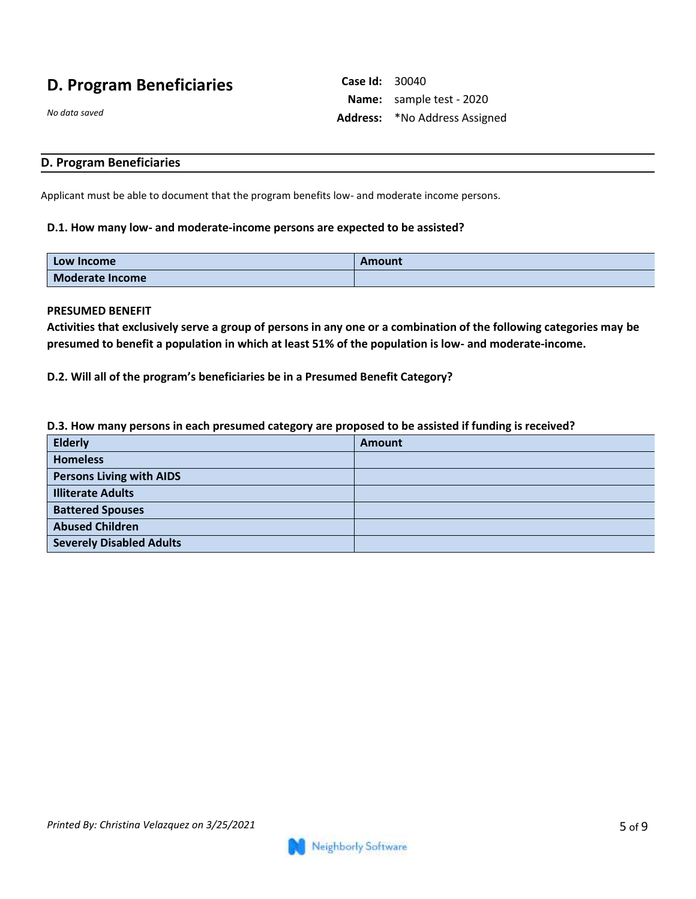## **D. Program Beneficiaries**

**Case Id:** 30040 **Name:** sample test - 2020 **Address:** \*No Address Assigned

*No data saved*

### **D. Program Beneficiaries**

Applicant must be able to document that the program benefits low- and moderate income persons.

#### **D.1. How many low- and moderate-income persons are expected to be assisted?**

| <b>Low Income</b>      | Amount |
|------------------------|--------|
| <b>Moderate Income</b> |        |

#### **PRESUMED BENEFIT**

**Activities that exclusively serve a group of persons in any one or a combination of the following categories may be presumed to benefit a population in which at least 51% of the population is low- and moderate-income.**

**D.2. Will all of the program's beneficiaries be in a Presumed Benefit Category?**

#### **D.3. How many persons in each presumed category are proposed to be assisted if funding is received?**

| <b>Elderly</b>                  | <b>Amount</b> |
|---------------------------------|---------------|
| <b>Homeless</b>                 |               |
| <b>Persons Living with AIDS</b> |               |
| <b>Illiterate Adults</b>        |               |
| <b>Battered Spouses</b>         |               |
| <b>Abused Children</b>          |               |
| <b>Severely Disabled Adults</b> |               |

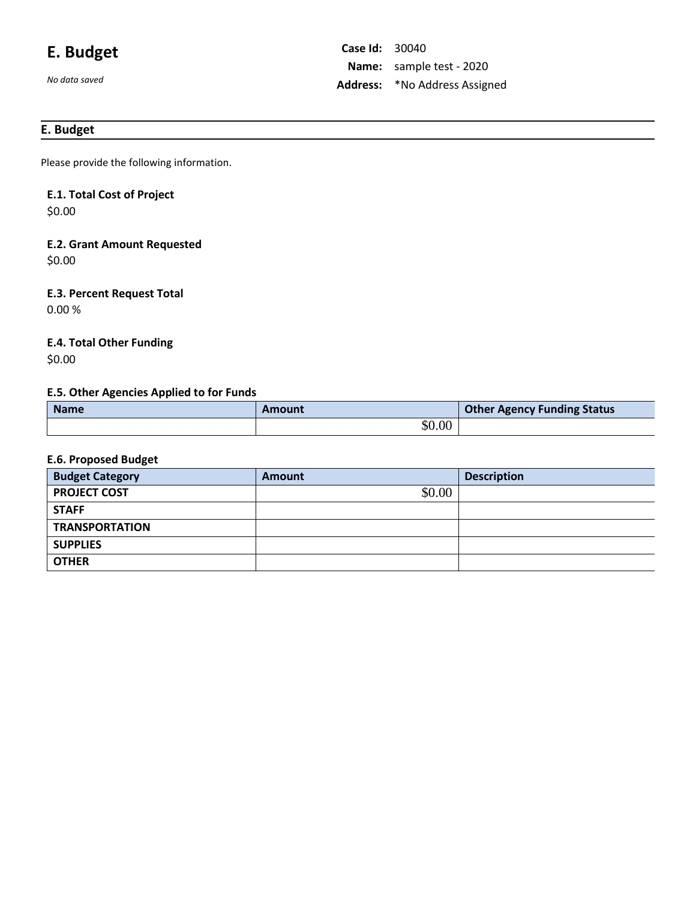# **E. Budget**

*No data saved*

### **E. Budget**

Please provide the following information.

# **E.1. Total Cost of Project**

\$0.00

# **E.2. Grant Amount Requested**

\$0.00

## **E.3. Percent Request Total**

0.00 %

## **E.4. Total Other Funding**

\$0.00

### **E.5. Other Agencies Applied to for Funds**

| <b>Name</b> | Amount | <b>Other Agency Funding Status</b> |
|-------------|--------|------------------------------------|
|             | \$0.00 |                                    |

### **E.6. Proposed Budget**

| <b>Budget Category</b> | Amount | <b>Description</b> |
|------------------------|--------|--------------------|
| <b>PROJECT COST</b>    | \$0.00 |                    |
| <b>STAFF</b>           |        |                    |
| <b>TRANSPORTATION</b>  |        |                    |
| <b>SUPPLIES</b>        |        |                    |
| <b>OTHER</b>           |        |                    |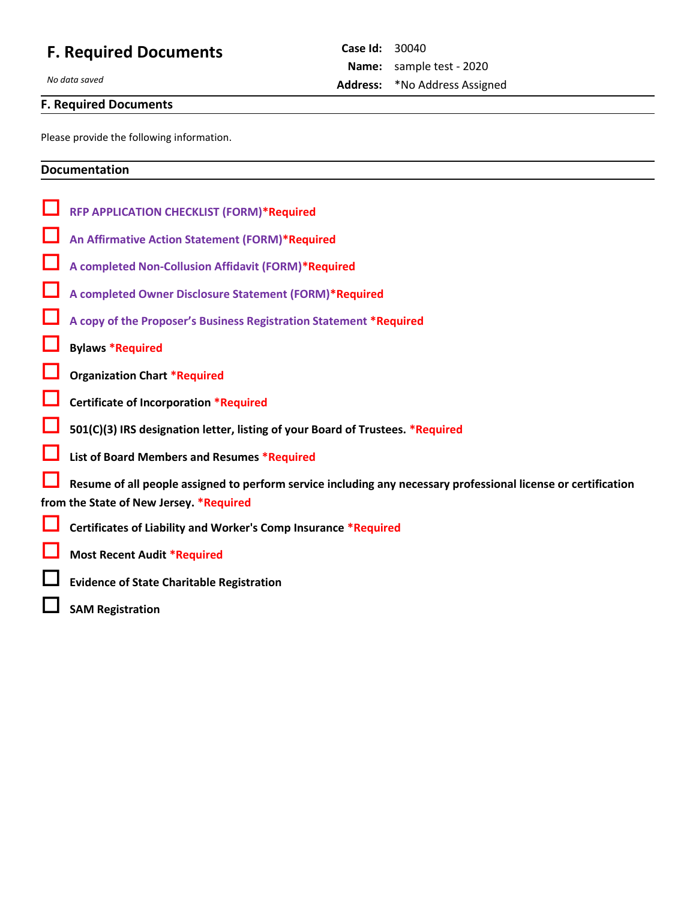# **F. Required Documents**

*No data saved*

## **F. Required Documents**

Please provide the following information.

### **Documentation**

| <b>RFP APPLICATION CHECKLIST (FORM)*Required</b>                                                               |
|----------------------------------------------------------------------------------------------------------------|
| An Affirmative Action Statement (FORM)*Required                                                                |
| A completed Non-Collusion Affidavit (FORM)*Required                                                            |
| A completed Owner Disclosure Statement (FORM)*Required                                                         |
| A copy of the Proposer's Business Registration Statement *Required                                             |
| <b>Bylaws *Required</b>                                                                                        |
| <b>Organization Chart *Required</b>                                                                            |
| Certificate of Incorporation *Required                                                                         |
| 501(C)(3) IRS designation letter, listing of your Board of Trustees. *Required                                 |
| List of Board Members and Resumes *Required                                                                    |
| Resume of all people assigned to perform service including any necessary professional license or certification |
| from the State of New Jersey. *Required                                                                        |
| Certificates of Liability and Worker's Comp Insurance *Required                                                |
| <b>Most Recent Audit *Required</b>                                                                             |
| <b>Evidence of State Charitable Registration</b>                                                               |
| <b>SAM Registration</b>                                                                                        |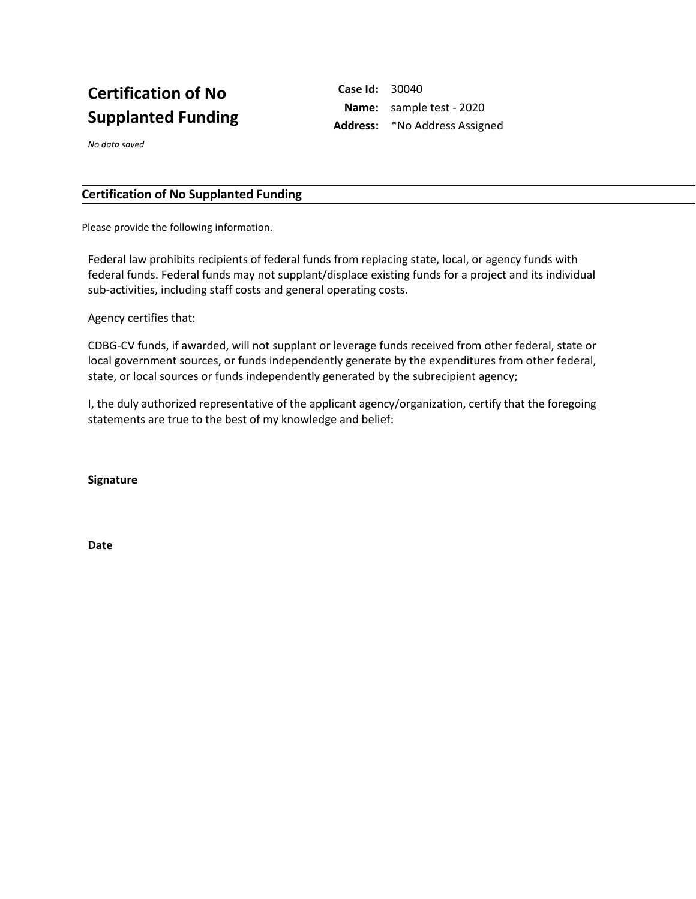# **Certification of No Supplanted Funding**

**Case Id:** 30040 **Name:** sample test - 2020 **Address:** \*No Address Assigned

*No data saved*

### **Certification of No Supplanted Funding**

Please provide the following information.

Federal law prohibits recipients of federal funds from replacing state, local, or agency funds with federal funds. Federal funds may not supplant/displace existing funds for a project and its individual sub-activities, including staff costs and general operating costs.

Agency certifies that:

CDBG-CV funds, if awarded, will not supplant or leverage funds received from other federal, state or local government sources, or funds independently generate by the expenditures from other federal, state, or local sources or funds independently generated by the subrecipient agency;

I, the duly authorized representative of the applicant agency/organization, certify that the foregoing statements are true to the best of my knowledge and belief:

**Signature**

**Date**